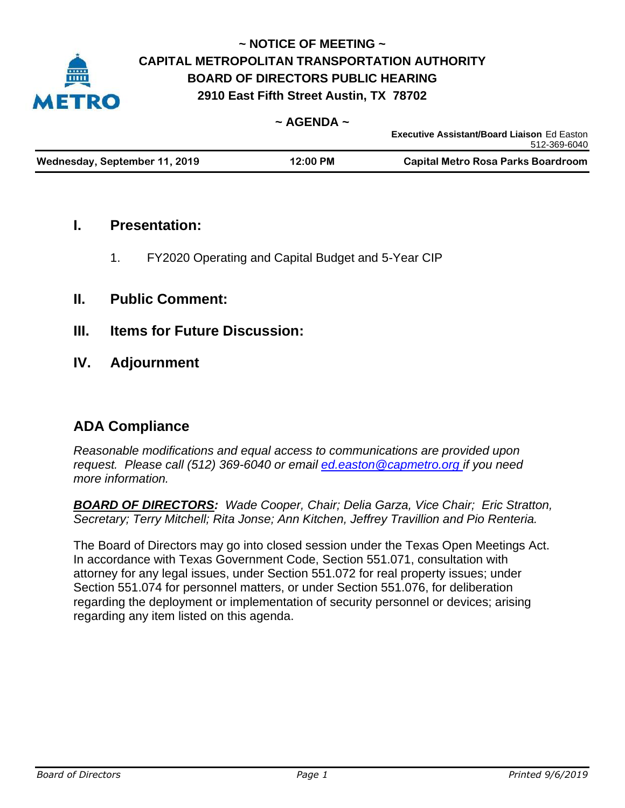

## **~ NOTICE OF MEETING ~ CAPITAL METROPOLITAN TRANSPORTATION AUTHORITY BOARD OF DIRECTORS PUBLIC HEARING 2910 East Fifth Street Austin, TX 78702**

### **~ AGENDA ~**

|                               |            | <b>Executive Assistant/Board Liaison Ed Easton</b> |
|-------------------------------|------------|----------------------------------------------------|
|                               |            | 512-369-6040                                       |
| Wednesday, September 11, 2019 | $12:00$ PM | Capital Metro Rosa Parks Boardroom                 |

### **I. Presentation:**

1. FY2020 Operating and Capital Budget and 5-Year CIP

### **II. Public Comment:**

- **III. Items for Future Discussion:**
- **IV. Adjournment**

## **ADA Compliance**

*Reasonable modifications and equal access to communications are provided upon request. Please call (512) 369-6040 or email ed.easton@capmetro.org if you need more information.*

*BOARD OF DIRECTORS: Wade Cooper, Chair; Delia Garza, Vice Chair; Eric Stratton, Secretary; Terry Mitchell; Rita Jonse; Ann Kitchen, Jeffrey Travillion and Pio Renteria.* 

The Board of Directors may go into closed session under the Texas Open Meetings Act. In accordance with Texas Government Code, Section 551.071, consultation with attorney for any legal issues, under Section 551.072 for real property issues; under Section 551.074 for personnel matters, or under Section 551.076, for deliberation regarding the deployment or implementation of security personnel or devices; arising regarding any item listed on this agenda.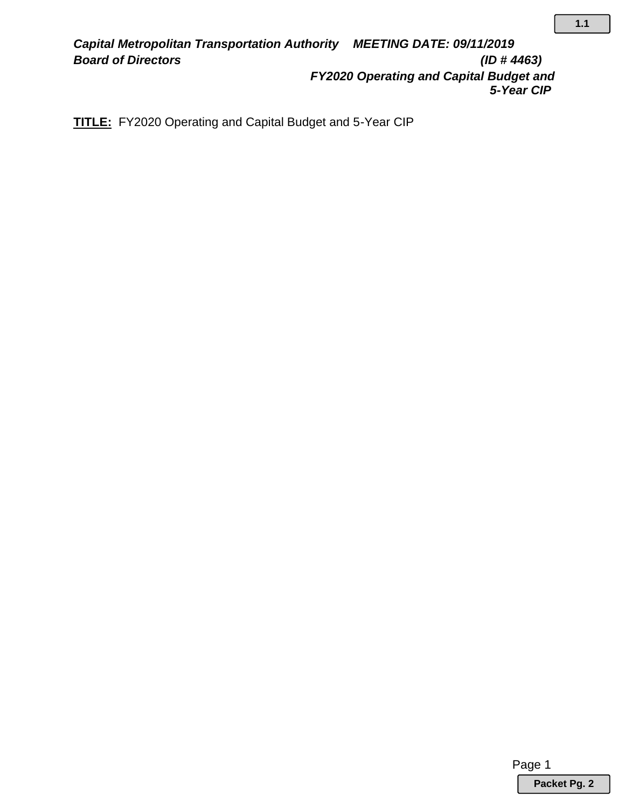*Capital Metropolitan Transportation Authority MEETING DATE: 09/11/2019 Board of Directors (ID # 4463) FY2020 Operating and Capital Budget and 5-Year CIP*

**TITLE:** FY2020 Operating and Capital Budget and 5-Year CIP

Page 1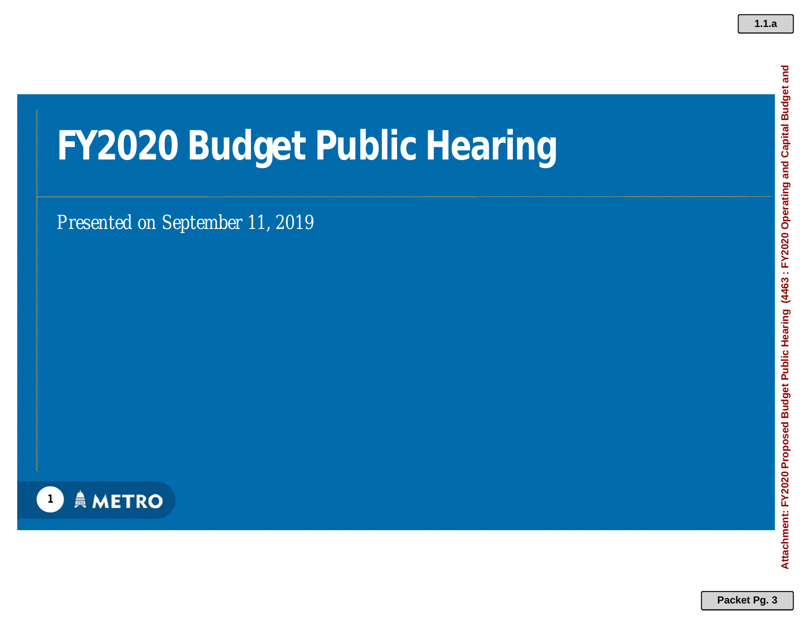## **FY2020 Budget Public Hearing**

*Presented on September 11, 2019*

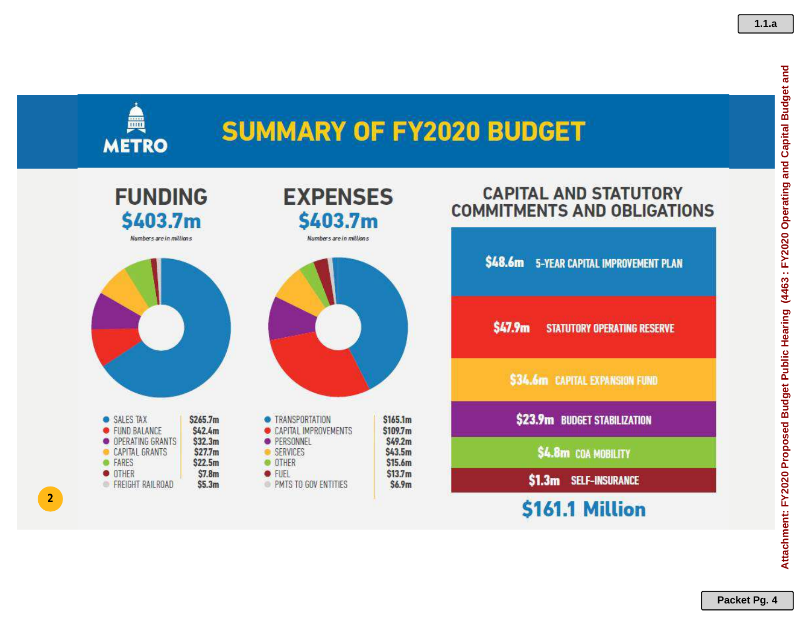## **SUMMARY OF FY2020 BUDGET**



Numbers are in millions

鱼

**METRO** 



| • SALES TAX             | \$265.7m           |
|-------------------------|--------------------|
| • FUND BALANCE          | \$42.4m            |
| O OPERATING GRANTS      | \$32.3m            |
| <b>CAPITAL GRANTS</b>   | S27.7m             |
| <b>• FARES</b>          | \$22.5m            |
| <b>OTHER</b>            | \$7.8 <sub>m</sub> |
| <b>FREIGHT RAILROAD</b> | SS.3m              |

**2**



**EXPENSES** 

#### CAPITAL IMPROVEMENTS \$109.7m \$49.2m · PERSONNEL SERVICES \$43.5m \$15.6m **O** OTHER • FUEL  $$13.7m$ PMTS TO GOV ENTITIES  $$6.9m$

## **CAPITAL AND STATUTORY COMMITMENTS AND OBLIGATIONS**

\$48.6m 5-YEAR CAPITAL IMPROVEMENT PLAN \$47.9m **STATUTORY OPERATING RESERVE** \$34.6m CAPITAL EXPANSION FUND \$23.9m BUDGET STABILIZATION \$4.8m COA MOBILITY \$1.3m SELF-INSURANCE

\$161.1 Million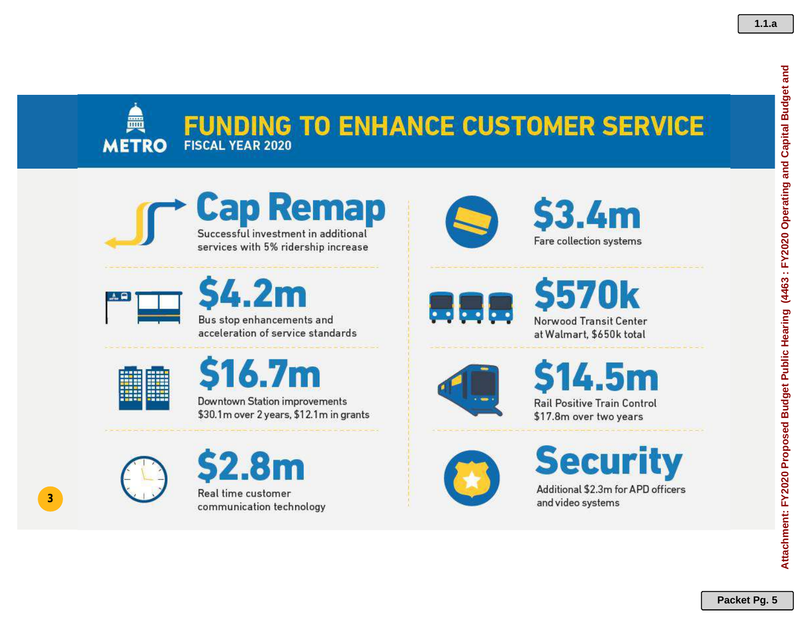### **FUNDING TO ENHANCE CUSTOMER SERVICE FISCAL YEAR 2020 METRO**





 $-2m$ Bus stop enhancements and

acceleration of service standards



▲

**3**



Downtown Station improvements \$30.1m over 2 years, \$12.1m in grants







 $3.4<sub>m</sub>$ 

Fare collection systems

**Rail Positive Train Control** \$17.8m over two years

**Security** 

Additional \$2.3m for APD officers and video systems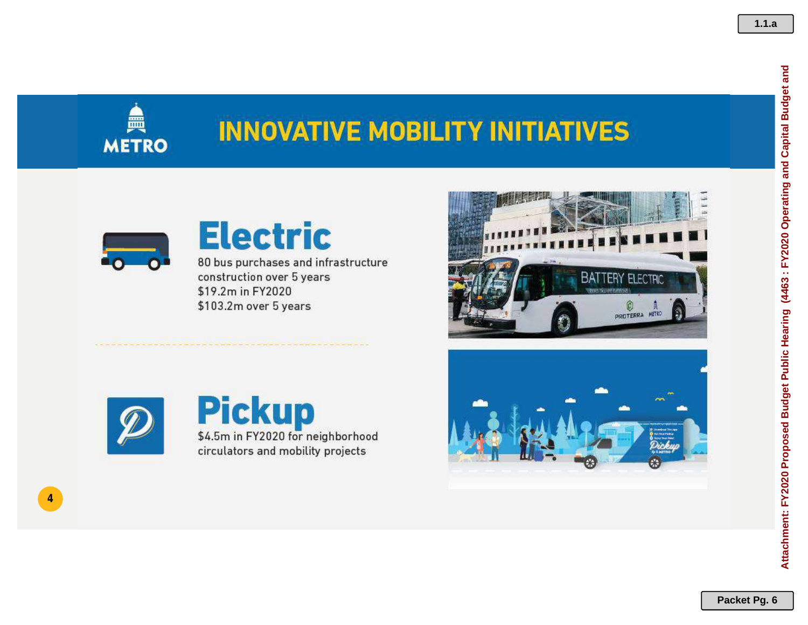

## **INNOVATIVE MOBILITY INITIATIVES**



## **Electric**

80 bus purchases and infrastructure construction over 5 years \$19.2m in FY2020 \$103.2m over 5 years



**4**





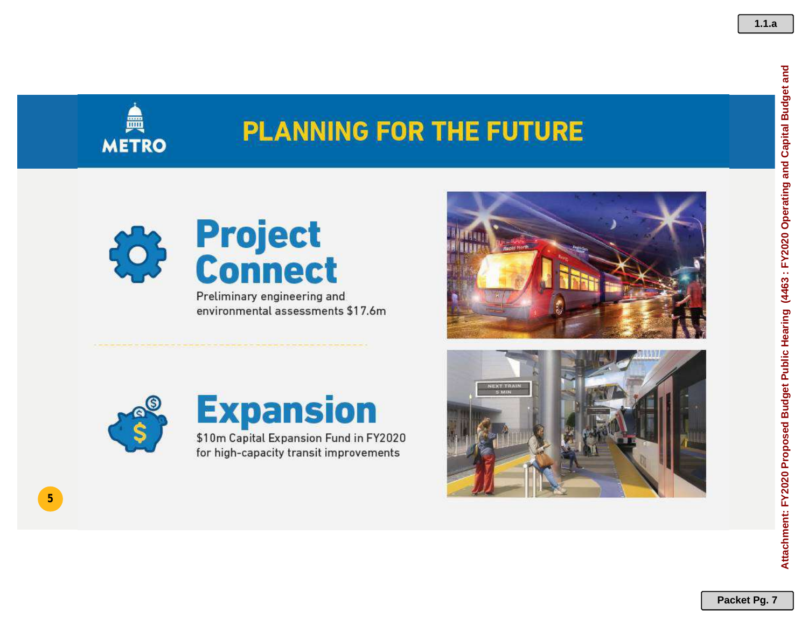

## **PLANNING FOR THE FUTURE**



Preliminary engineering and environmental assessments \$17.6m





**5**